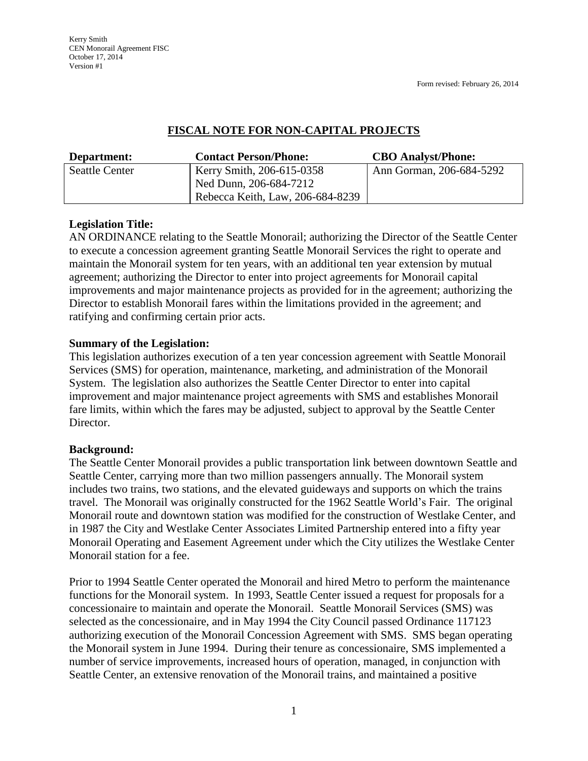Form revised: February 26, 2014

## **FISCAL NOTE FOR NON-CAPITAL PROJECTS**

| Department:           | <b>Contact Person/Phone:</b>     | <b>CBO</b> Analyst/Phone: |
|-----------------------|----------------------------------|---------------------------|
| <b>Seattle Center</b> | Kerry Smith, 206-615-0358        | Ann Gorman, 206-684-5292  |
|                       | Ned Dunn, 206-684-7212           |                           |
|                       | Rebecca Keith, Law, 206-684-8239 |                           |

# **Legislation Title:**

AN ORDINANCE relating to the Seattle Monorail; authorizing the Director of the Seattle Center to execute a concession agreement granting Seattle Monorail Services the right to operate and maintain the Monorail system for ten years, with an additional ten year extension by mutual agreement; authorizing the Director to enter into project agreements for Monorail capital improvements and major maintenance projects as provided for in the agreement; authorizing the Director to establish Monorail fares within the limitations provided in the agreement; and ratifying and confirming certain prior acts.

## **Summary of the Legislation:**

This legislation authorizes execution of a ten year concession agreement with Seattle Monorail Services (SMS) for operation, maintenance, marketing, and administration of the Monorail System. The legislation also authorizes the Seattle Center Director to enter into capital improvement and major maintenance project agreements with SMS and establishes Monorail fare limits, within which the fares may be adjusted, subject to approval by the Seattle Center Director.

## **Background:**

The Seattle Center Monorail provides a public transportation link between downtown Seattle and Seattle Center, carrying more than two million passengers annually. The Monorail system includes two trains, two stations, and the elevated guideways and supports on which the trains travel. The Monorail was originally constructed for the 1962 Seattle World's Fair. The original Monorail route and downtown station was modified for the construction of Westlake Center, and in 1987 the City and Westlake Center Associates Limited Partnership entered into a fifty year Monorail Operating and Easement Agreement under which the City utilizes the Westlake Center Monorail station for a fee.

Prior to 1994 Seattle Center operated the Monorail and hired Metro to perform the maintenance functions for the Monorail system. In 1993, Seattle Center issued a request for proposals for a concessionaire to maintain and operate the Monorail. Seattle Monorail Services (SMS) was selected as the concessionaire, and in May 1994 the City Council passed Ordinance 117123 authorizing execution of the Monorail Concession Agreement with SMS. SMS began operating the Monorail system in June 1994. During their tenure as concessionaire, SMS implemented a number of service improvements, increased hours of operation, managed, in conjunction with Seattle Center, an extensive renovation of the Monorail trains, and maintained a positive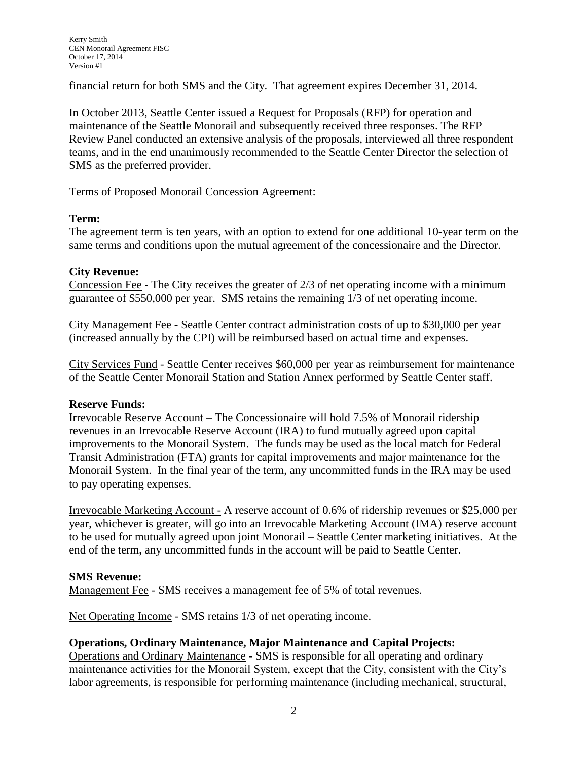financial return for both SMS and the City. That agreement expires December 31, 2014.

In October 2013, Seattle Center issued a Request for Proposals (RFP) for operation and maintenance of the Seattle Monorail and subsequently received three responses. The RFP Review Panel conducted an extensive analysis of the proposals, interviewed all three respondent teams, and in the end unanimously recommended to the Seattle Center Director the selection of SMS as the preferred provider.

Terms of Proposed Monorail Concession Agreement:

### **Term:**

The agreement term is ten years, with an option to extend for one additional 10-year term on the same terms and conditions upon the mutual agreement of the concessionaire and the Director.

### **City Revenue:**

Concession Fee - The City receives the greater of 2/3 of net operating income with a minimum guarantee of \$550,000 per year. SMS retains the remaining 1/3 of net operating income.

City Management Fee - Seattle Center contract administration costs of up to \$30,000 per year (increased annually by the CPI) will be reimbursed based on actual time and expenses.

City Services Fund - Seattle Center receives \$60,000 per year as reimbursement for maintenance of the Seattle Center Monorail Station and Station Annex performed by Seattle Center staff.

## **Reserve Funds:**

Irrevocable Reserve Account – The Concessionaire will hold 7.5% of Monorail ridership revenues in an Irrevocable Reserve Account (IRA) to fund mutually agreed upon capital improvements to the Monorail System. The funds may be used as the local match for Federal Transit Administration (FTA) grants for capital improvements and major maintenance for the Monorail System. In the final year of the term, any uncommitted funds in the IRA may be used to pay operating expenses.

Irrevocable Marketing Account - A reserve account of 0.6% of ridership revenues or \$25,000 per year, whichever is greater, will go into an Irrevocable Marketing Account (IMA) reserve account to be used for mutually agreed upon joint Monorail – Seattle Center marketing initiatives. At the end of the term, any uncommitted funds in the account will be paid to Seattle Center.

#### **SMS Revenue:**

Management Fee - SMS receives a management fee of 5% of total revenues.

Net Operating Income - SMS retains 1/3 of net operating income.

## **Operations, Ordinary Maintenance, Major Maintenance and Capital Projects:**

Operations and Ordinary Maintenance - SMS is responsible for all operating and ordinary maintenance activities for the Monorail System, except that the City, consistent with the City's labor agreements, is responsible for performing maintenance (including mechanical, structural,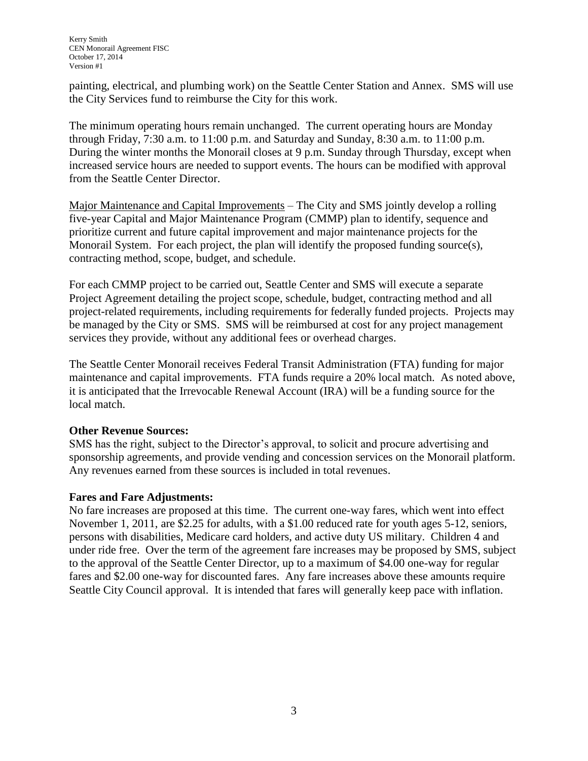painting, electrical, and plumbing work) on the Seattle Center Station and Annex. SMS will use the City Services fund to reimburse the City for this work.

The minimum operating hours remain unchanged. The current operating hours are Monday through Friday, 7:30 a.m. to 11:00 p.m. and Saturday and Sunday, 8:30 a.m. to 11:00 p.m. During the winter months the Monorail closes at 9 p.m. Sunday through Thursday, except when increased service hours are needed to support events. The hours can be modified with approval from the Seattle Center Director.

Major Maintenance and Capital Improvements – The City and SMS jointly develop a rolling five-year Capital and Major Maintenance Program (CMMP) plan to identify, sequence and prioritize current and future capital improvement and major maintenance projects for the Monorail System. For each project, the plan will identify the proposed funding source(s), contracting method, scope, budget, and schedule.

For each CMMP project to be carried out, Seattle Center and SMS will execute a separate Project Agreement detailing the project scope, schedule, budget, contracting method and all project-related requirements, including requirements for federally funded projects. Projects may be managed by the City or SMS. SMS will be reimbursed at cost for any project management services they provide, without any additional fees or overhead charges.

The Seattle Center Monorail receives Federal Transit Administration (FTA) funding for major maintenance and capital improvements. FTA funds require a 20% local match. As noted above, it is anticipated that the Irrevocable Renewal Account (IRA) will be a funding source for the local match.

## **Other Revenue Sources:**

SMS has the right, subject to the Director's approval, to solicit and procure advertising and sponsorship agreements, and provide vending and concession services on the Monorail platform. Any revenues earned from these sources is included in total revenues.

## **Fares and Fare Adjustments:**

No fare increases are proposed at this time. The current one-way fares, which went into effect November 1, 2011, are \$2.25 for adults, with a \$1.00 reduced rate for youth ages 5-12, seniors, persons with disabilities, Medicare card holders, and active duty US military. Children 4 and under ride free. Over the term of the agreement fare increases may be proposed by SMS, subject to the approval of the Seattle Center Director, up to a maximum of \$4.00 one-way for regular fares and \$2.00 one-way for discounted fares. Any fare increases above these amounts require Seattle City Council approval. It is intended that fares will generally keep pace with inflation.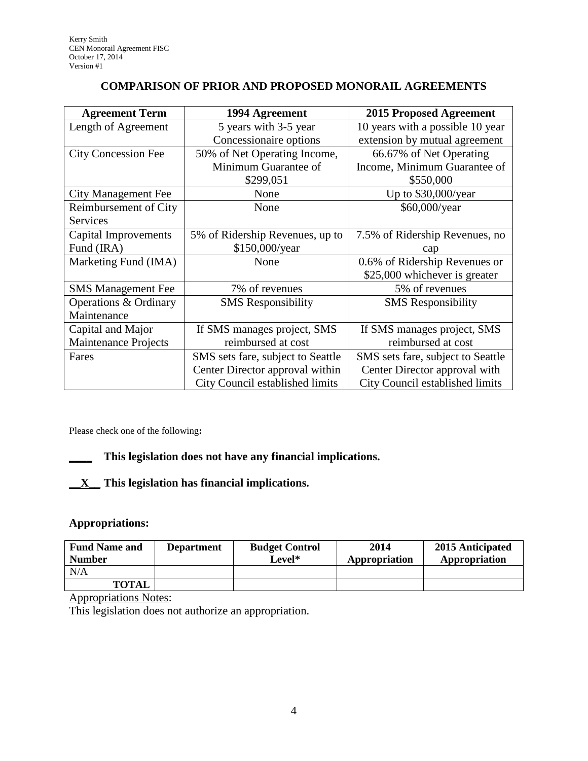# **COMPARISON OF PRIOR AND PROPOSED MONORAIL AGREEMENTS**

| <b>Agreement Term</b>       | 1994 Agreement                    | <b>2015 Proposed Agreement</b>    |  |  |
|-----------------------------|-----------------------------------|-----------------------------------|--|--|
| Length of Agreement         | 5 years with 3-5 year             | 10 years with a possible 10 year  |  |  |
|                             | Concessionaire options            | extension by mutual agreement     |  |  |
| <b>City Concession Fee</b>  | 50% of Net Operating Income,      | 66.67% of Net Operating           |  |  |
|                             | Minimum Guarantee of              | Income, Minimum Guarantee of      |  |  |
|                             | \$299,051                         | \$550,000                         |  |  |
| <b>City Management Fee</b>  | None                              | Up to \$30,000/year               |  |  |
| Reimbursement of City       | None                              | \$60,000/year                     |  |  |
| Services                    |                                   |                                   |  |  |
| Capital Improvements        | 5% of Ridership Revenues, up to   | 7.5% of Ridership Revenues, no    |  |  |
| Fund (IRA)                  | \$150,000/year                    | cap                               |  |  |
| Marketing Fund (IMA)        | None                              | 0.6% of Ridership Revenues or     |  |  |
|                             |                                   | \$25,000 whichever is greater     |  |  |
| <b>SMS</b> Management Fee   | 7% of revenues                    | 5% of revenues                    |  |  |
| Operations & Ordinary       | <b>SMS</b> Responsibility         | <b>SMS</b> Responsibility         |  |  |
| Maintenance                 |                                   |                                   |  |  |
| Capital and Major           | If SMS manages project, SMS       | If SMS manages project, SMS       |  |  |
| <b>Maintenance Projects</b> | reimbursed at cost                | reimbursed at cost                |  |  |
| Fares                       | SMS sets fare, subject to Seattle | SMS sets fare, subject to Seattle |  |  |
|                             | Center Director approval within   | Center Director approval with     |  |  |
|                             | City Council established limits   | City Council established limits   |  |  |

Please check one of the following**:**

# **\_\_\_\_ This legislation does not have any financial implications.**

# **\_\_X\_\_ This legislation has financial implications***.*

### **Appropriations:**

| <b>Fund Name and</b><br><b>Number</b> | <b>Department</b> | <b>Budget Control</b><br>Level* | 2014<br>Appropriation | 2015 Anticipated<br>Appropriation |
|---------------------------------------|-------------------|---------------------------------|-----------------------|-----------------------------------|
| N/A                                   |                   |                                 |                       |                                   |
| <b>TOTAL</b>                          |                   |                                 |                       |                                   |

Appropriations Notes:

This legislation does not authorize an appropriation.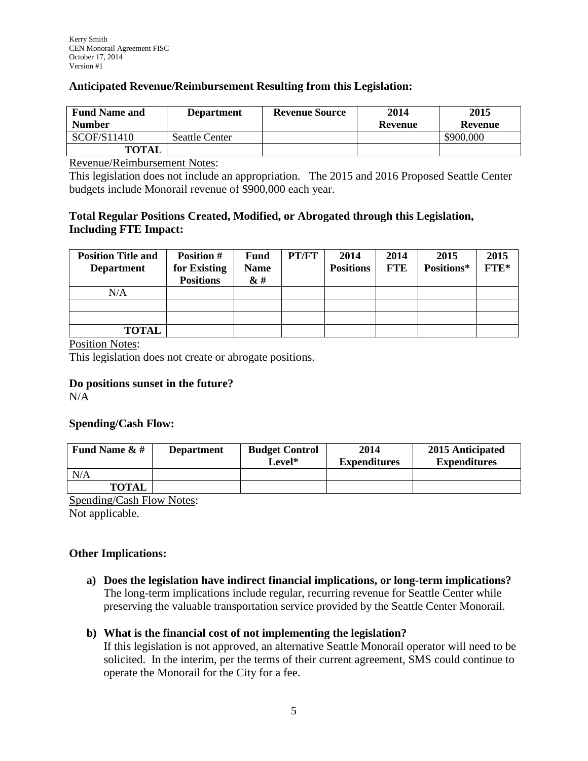### **Anticipated Revenue/Reimbursement Resulting from this Legislation:**

| <b>Fund Name and</b> | <b>Department</b>     | <b>Revenue Source</b> | 2014    | 2015           |
|----------------------|-----------------------|-----------------------|---------|----------------|
| <b>Number</b>        |                       |                       | Revenue | <b>Revenue</b> |
| SCOF/S11410          | <b>Seattle Center</b> |                       |         | \$900,000      |
| <b>TOTAL</b>         |                       |                       |         |                |

Revenue/Reimbursement Notes:

This legislation does not include an appropriation. The 2015 and 2016 Proposed Seattle Center budgets include Monorail revenue of \$900,000 each year.

## **Total Regular Positions Created, Modified, or Abrogated through this Legislation, Including FTE Impact:**

| <b>Position Title and</b><br><b>Department</b> | <b>Position #</b><br>for Existing<br><b>Positions</b> | <b>Fund</b><br><b>Name</b><br>$\&$ # | PT/FT | 2014<br><b>Positions</b> | 2014<br><b>FTE</b> | 2015<br>Positions* | 2015<br>FTE* |
|------------------------------------------------|-------------------------------------------------------|--------------------------------------|-------|--------------------------|--------------------|--------------------|--------------|
| N/A                                            |                                                       |                                      |       |                          |                    |                    |              |
|                                                |                                                       |                                      |       |                          |                    |                    |              |
|                                                |                                                       |                                      |       |                          |                    |                    |              |
| <b>TOTAL</b>                                   |                                                       |                                      |       |                          |                    |                    |              |

Position Notes:

This legislation does not create or abrogate positions.

#### **Do positions sunset in the future?**

N/A

#### **Spending/Cash Flow:**

| Fund Name $\&$ # | <b>Department</b> | <b>Budget Control</b><br>Level* | 2014<br><b>Expenditures</b> | 2015 Anticipated<br><b>Expenditures</b> |
|------------------|-------------------|---------------------------------|-----------------------------|-----------------------------------------|
| N/A              |                   |                                 |                             |                                         |
| <b>TOTAL</b>     |                   |                                 |                             |                                         |

Spending/Cash Flow Notes:

Not applicable.

#### **Other Implications:**

**a) Does the legislation have indirect financial implications, or long-term implications?** The long-term implications include regular, recurring revenue for Seattle Center while preserving the valuable transportation service provided by the Seattle Center Monorail.

## **b) What is the financial cost of not implementing the legislation?**

If this legislation is not approved, an alternative Seattle Monorail operator will need to be solicited. In the interim, per the terms of their current agreement, SMS could continue to operate the Monorail for the City for a fee.